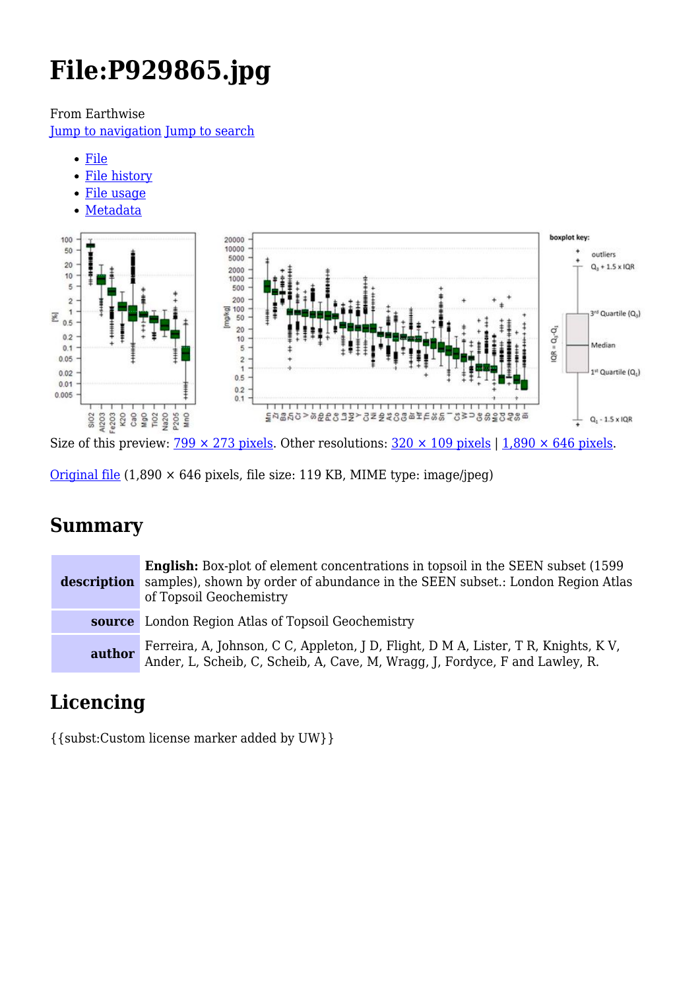# **File:P929865.jpg**

From Earthwise

[Jump to navigation](#page--1-0) [Jump to search](#page--1-0)

- [File](#page--1-0)
- [File history](#page--1-0)
- [File usage](#page--1-0)
- [Metadata](#page--1-0)



Size of this preview:  $\frac{799 \times 273 \text{ pixels}}{273 \text{ pixels}}$ . Other resolutions:  $\frac{320 \times 109 \text{ pixels}}{1,890 \times 646 \text{ pixels}}$ .

[Original file](http://earthwise.bgs.ac.uk/images/1/17/P929865.jpg)  $(1,890 \times 646)$  pixels, file size: 119 KB, MIME type: image/jpeg)

# **Summary**

**description English:** Box-plot of element concentrations in topsoil in the SEEN subset (1599 samples), shown by order of abundance in the SEEN subset.: London Region Atlas of Topsoil Geochemistry **source** London Region Atlas of Topsoil Geochemistry **author** Ferreira, A, Johnson, C C, Appleton, J D, Flight, D M A, Lister, T R, Knights, K V, Ander, L, Scheib, C, Scheib, A, Cave, M, Wragg, J, Fordyce, F and Lawley, R.

# **Licencing**

{{subst:Custom license marker added by UW}}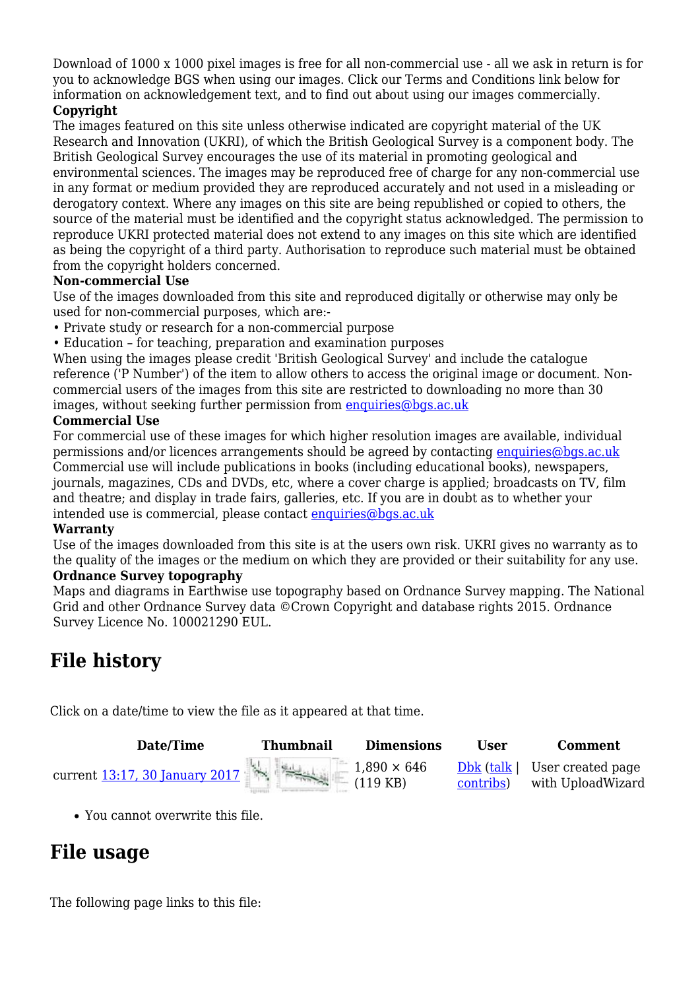Download of 1000 x 1000 pixel images is free for all non-commercial use - all we ask in return is for you to acknowledge BGS when using our images. Click our Terms and Conditions link below for information on acknowledgement text, and to find out about using our images commercially.

#### **Copyright**

The images featured on this site unless otherwise indicated are copyright material of the UK Research and Innovation (UKRI), of which the British Geological Survey is a component body. The British Geological Survey encourages the use of its material in promoting geological and environmental sciences. The images may be reproduced free of charge for any non-commercial use in any format or medium provided they are reproduced accurately and not used in a misleading or derogatory context. Where any images on this site are being republished or copied to others, the source of the material must be identified and the copyright status acknowledged. The permission to reproduce UKRI protected material does not extend to any images on this site which are identified as being the copyright of a third party. Authorisation to reproduce such material must be obtained from the copyright holders concerned.

#### **Non-commercial Use**

Use of the images downloaded from this site and reproduced digitally or otherwise may only be used for non-commercial purposes, which are:-

- Private study or research for a non-commercial purpose
- Education for teaching, preparation and examination purposes

When using the images please credit 'British Geological Survey' and include the catalogue reference ('P Number') of the item to allow others to access the original image or document. Noncommercial users of the images from this site are restricted to downloading no more than 30 images, without seeking further permission from [enquiries@bgs.ac.uk](mailto:enquiries@bgs.ac.uk)

#### **Commercial Use**

For commercial use of these images for which higher resolution images are available, individual permissions and/or licences arrangements should be agreed by contacting [enquiries@bgs.ac.uk](mailto:enquiries@bgs.ac.uk) Commercial use will include publications in books (including educational books), newspapers, journals, magazines, CDs and DVDs, etc, where a cover charge is applied; broadcasts on TV, film and theatre; and display in trade fairs, galleries, etc. If you are in doubt as to whether your intended use is commercial, please contact [enquiries@bgs.ac.uk](mailto:enquiries@bgs.ac.uk)

#### **Warranty**

Use of the images downloaded from this site is at the users own risk. UKRI gives no warranty as to the quality of the images or the medium on which they are provided or their suitability for any use. **Ordnance Survey topography**

Maps and diagrams in Earthwise use topography based on Ordnance Survey mapping. The National Grid and other Ordnance Survey data ©Crown Copyright and database rights 2015. Ordnance Survey Licence No. 100021290 EUL.

# **File history**

Click on a date/time to view the file as it appeared at that time.

| Date/Time                                          | <b>Thumbnail</b> | <b>Dimensions</b>              | User      | <b>Comment</b>                                       |
|----------------------------------------------------|------------------|--------------------------------|-----------|------------------------------------------------------|
| The figure of $\frac{13:17}{20}$ , $\frac{11}{20}$ | 1 Hotel in       | $1,890 \times 646$<br>(119 KB) | contribs) | $Dbk$ (talk   User created page<br>with UploadWizard |

You cannot overwrite this file.

### **File usage**

The following page links to this file: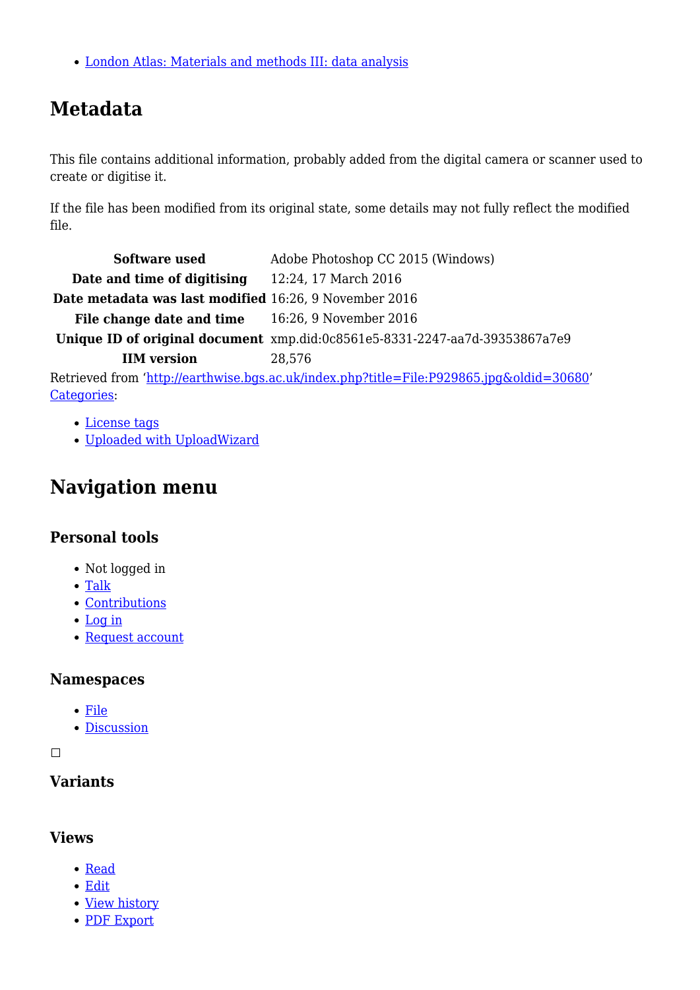[London Atlas: Materials and methods III: data analysis](http://earthwise.bgs.ac.uk/index.php/London_Atlas:_Materials_and_methods_III:_data_analysis)

# **Metadata**

This file contains additional information, probably added from the digital camera or scanner used to create or digitise it.

If the file has been modified from its original state, some details may not fully reflect the modified file.

| Software used                                          | Adobe Photoshop CC 2015 (Windows)                                                        |
|--------------------------------------------------------|------------------------------------------------------------------------------------------|
| Date and time of digitising                            | 12:24, 17 March 2016                                                                     |
| Date metadata was last modified 16:26, 9 November 2016 |                                                                                          |
| File change date and time 16:26, 9 November 2016       |                                                                                          |
|                                                        | Unique ID of original document xmp.did:0c8561e5-8331-2247-aa7d-39353867a7e9              |
| <b>IIM</b> version                                     | 28.576                                                                                   |
|                                                        | Retrieved from 'http://earthwise.bgs.ac.uk/index.php?title=File:P929865.jpg&oldid=30680' |
| Categories:                                            |                                                                                          |

- [License tags](http://earthwise.bgs.ac.uk/index.php/Category:License_tags)
- [Uploaded with UploadWizard](http://earthwise.bgs.ac.uk/index.php/Category:Uploaded_with_UploadWizard)

# **Navigation menu**

### **Personal tools**

- Not logged in
- [Talk](http://earthwise.bgs.ac.uk/index.php/Special:MyTalk)
- [Contributions](http://earthwise.bgs.ac.uk/index.php/Special:MyContributions)
- [Log in](http://earthwise.bgs.ac.uk/index.php?title=Special:UserLogin&returnto=File%3AP929865.jpg&returntoquery=action%3Dmpdf)
- [Request account](http://earthwise.bgs.ac.uk/index.php/Special:RequestAccount)

### **Namespaces**

- [File](http://earthwise.bgs.ac.uk/index.php/File:P929865.jpg)
- [Discussion](http://earthwise.bgs.ac.uk/index.php?title=File_talk:P929865.jpg&action=edit&redlink=1)

 $\Box$ 

### **Variants**

### **Views**

- [Read](http://earthwise.bgs.ac.uk/index.php/File:P929865.jpg)
- [Edit](http://earthwise.bgs.ac.uk/index.php?title=File:P929865.jpg&action=edit)
- [View history](http://earthwise.bgs.ac.uk/index.php?title=File:P929865.jpg&action=history)
- [PDF Export](http://earthwise.bgs.ac.uk/index.php?title=File:P929865.jpg&action=mpdf)